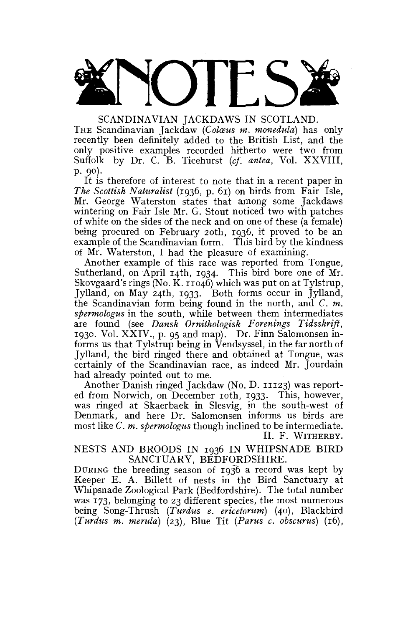

THE Scandinavian Jackdaw *(Colasus m. monedula)* has only recently been definitely added to the British List, and the only positive examples recorded hitherto were two from Suffolk by Dr. C. B. Ticehurst *(cf. antea,* Vol. XXVIII, p. 90).

It is therefore of interest to note that in a recent paper in *The Scottish Naturalist* (1936, p. 61) on birds from Fair Isle, Mr. George Waterston states that among some Jackdaws wintering on Fair Isle Mr. G. Stout noticed two with patches of white on the sides of the neck and on one of these (a female) being procured on February 20th, 1936, it proved to be an example of the Scandinavian form. This bird by the kindness of Mr. Waterston, I had the pleasure of examining.

Another example of this race was reported from Tongue, Sutherland, on April 14th, 1934. This bird bore one of Mr. Skovgaard's rings (No. K. 11046) which was put on at Tylstrup, Jylland, on May 24th, 1933. Both forms occur in Jylland, the Scandinavian form being found in the north, and *C. m. spermologus* in the south, while between them intermediates are found (see *Dansk Ornithologisk Forenings Tidsskrift,*  1930. Vol. XXIV., p. 95 and map). Dr. Finn Salomonsen informs us that Tylstrup being in Vendsyssel, in the far north of Jylland, the bird ringed there and obtained at Tongue, was certainly of the Scandinavian race, as indeed Mr. Jourdain had already pointed out to me.

Another Danish ringed Jackdaw (No. D. 11123) was reported from Norwich, on December 10th, 1933. This, however, was ringed at Skaerbaek in Slesvig, in the south-west of Denmark, and here Dr. Salomonsen informs us birds are most like *C. m. spermologus* though inclined to be intermediate. H. F. WITHERBY.

NESTS AND BROODS IN 1936 IN WHIPSNADE BIRD SANCTUARY, BEDFORDSHIRE.

DURING the breeding season of 1936 a record was kept by Keeper E. A. Billett of nests in the Bird Sanctuary at Whipsnade Zoological Park (Bedfordshire). The total number was 173, belonging to 23 different species, the most numerous being Song-Thrush *(Turdus e. ericetorum)* (40), Blackbird *(Turdus m. merula)* (23), Blue Tit *(Parus c. obscurus)* (16),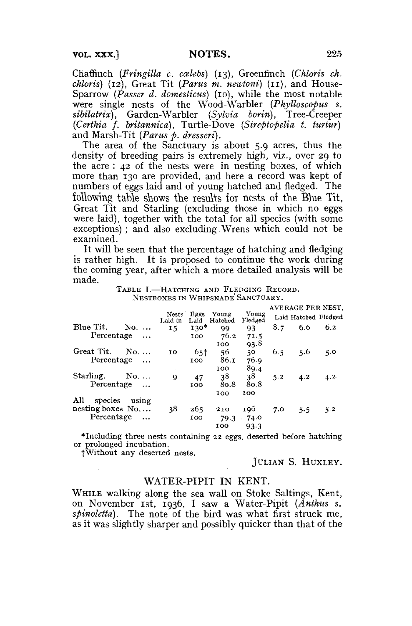Chaffinch *(Fringilla c. ccelebs)* (13), Greenfinch *(Chloris ch. chloris)* (12), Great Tit *(Parus m. newtoni)* (11), and House-Sparrow *(Passer d. domesticus)* (10), while the most notable were single nests of the Wood-Warbler *(Phylloscopus s. sibilatrix),* Garden-Warbler *(Sylvia borin),* Tree-Creeper *(Certhia f. britannica),* Turtle-Dove *(Streptopelia t, turtur)*  and Marsh-Tit *(Parus p. dresseri).* 

The area of the Sanctuary is about 5.9 acres, thus the density of breeding pairs is extremely high, viz., over 29 to the acre : 42 of the nests were in nesting boxes, of which more than 130 are provided, and here a record was kept of numbers of eggs laid and of young hatched and fledged. The following table shows the results for nests of the Blue Tit. Great Tit and Starling (excluding those in which no eggs were laid), together with the total for all species (with some exceptions) ; and also excluding Wrens which could not be examined.

It will be seen that the percentage of hatching and fledging is rather high. It is proposed to continue the work during the coming year, after which a more detailed analysis will be made.

TABLE I.—HATCHING AND FLEDGING RECORD. NESTBOXES IN WHIPSNADE'SANCTUARY.

|                           |                  |                 |                  |                  | AVERAGE PER NEST. |                      |     |
|---------------------------|------------------|-----------------|------------------|------------------|-------------------|----------------------|-----|
|                           | Nests<br>Laid in | Eggs<br>Laid    | Young<br>Hatched | Young<br>Fledged |                   | Laid Hatched Fledged |     |
| Blue Tit.<br>No.          | 15               | $130*$          | 99               | 93               | 8.7               | 6.6                  | 6.2 |
| Percentage<br>$\ddotsc$   |                  | 100             | 76.2             | 71.5             |                   |                      |     |
|                           |                  |                 | 100              | 93.8             |                   |                      |     |
| Great Tit.<br>No          | 10               | 65 <sup>†</sup> | 56               | 50               | 6.5               | 5.6                  | 5.0 |
| Percentage<br>$\ddotsc$   |                  | 100             | 86.1             | 76.9             |                   |                      |     |
|                           |                  |                 | 100              | 89.4             |                   |                      |     |
| Starling.<br>$No. \ldots$ | 9                | 47              | 38               | 38               | 5.2               | 4.2                  | 4.2 |
| Percentage<br>$\ddotsc$   |                  | <b>TOO</b>      | 80.8             | 80.8             |                   |                      |     |
|                           |                  |                 | 100              | 100              |                   |                      |     |
| All<br>species<br>using   |                  |                 |                  |                  |                   |                      |     |
| nesting boxes No          | 38               | 265             | 210              | 196              | 7.0               | 5.5                  | 5.2 |
| Percentage<br>$\ddotsc$   |                  | 100             | 79.3             | .74.0            |                   |                      |     |
|                           |                  |                 | 100              | 93.3             |                   |                      |     |

•Including three nests containing 22 eggs, deserted before hatching or prolonged incubation.

fWithout any deserted nests.

JULIAN S. HUXLEY.

## WATER-PIPIT IN KENT.

WHILE walking along the sea wall on Stoke Saltings, Kent, on November 1st, 1936, I saw a Water-Pipit *(Anthus s.*  spinoletta). The note of the bird was what first struck me, as it was slightly sharper and possibly quicker than that of the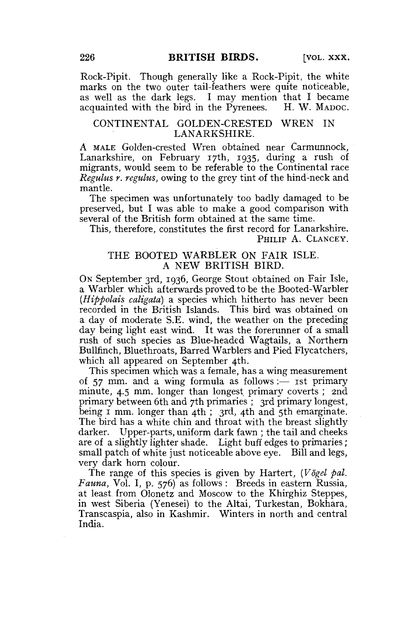Rock-Pipit. Though generally like a Rock-Pipit, the white marks on the two outer tail-feathers were quite noticeable, as well as the dark legs, I may mention that I became acquainted with the bird in the Pyrenees.

### CONTINENTAL GOLDEN-CRESTED WREN IN LANARKSHIRE.

A MALE Golden-crested Wren obtained near Carmunnock, Lanarkshire, on February 17th, 1935, during a rush of migrants, would seem to be referable to the Continental race *Regulus r. regulus,* owing to the grey tint of the hind-neck and mantle.

The specimen was unfortunately too badly damaged to be preserved, but I was able to make a good comparison with several of the British form obtained at the same time.

This, therefore, constitutes the first record for Lanarkshire. PHILIP A. CLANCEY.

# THE BOOTED WARBLER ON FAIR ISLE. A NEW BRITISH BIRD.

ON September 3rd, 1936, George Stout obtained on Fair Isle, a Warbler which afterwards proved to be the Booted-Warbler *{Hippolais caligata)* a species which hitherto has never been recorded in the British Islands. This bird was obtained on a day of moderate S.E. wind, the weather on the preceding day being light east wind. It was the forerunner of a small rush of such species as Blue-headed Wagtails, a Northern Bullfinch, Bluethroats, Barred Warblers and Pied Flycatchers, which all appeared on September 4th.

This specimen which was a female, has a wing measurement of 57 mm. and a wing formula as follows :— 1st primary minute, 4.5 mm. longer than longest primary coverts ; 2nd primary between 6th and 7th primaries ; 3rd primary longest, being I mm. longer than 4th; 3rd, 4th and 5th emarginate. The bird has a white chin and throat with the breast slightly darker. Upper-parts, uniform dark fawn ; the tail and cheeks are of a slightly lighter shade. Light buff edges to primaries; small patch of white just noticeable above eye. Bill and legs, very dark horn colour.

The range of this species is given by Hartert, (Vögel pal. *Fauna,* Vol. I, p. 576) as follows : Breeds in eastern Russia, at least from Olonetz and Moscow to the Khirghiz Steppes, in west Siberia (Yenesei) to the Altai, Turkestan, Bokhara, Transcaspia, also in Kashmir. Winters in north and central India.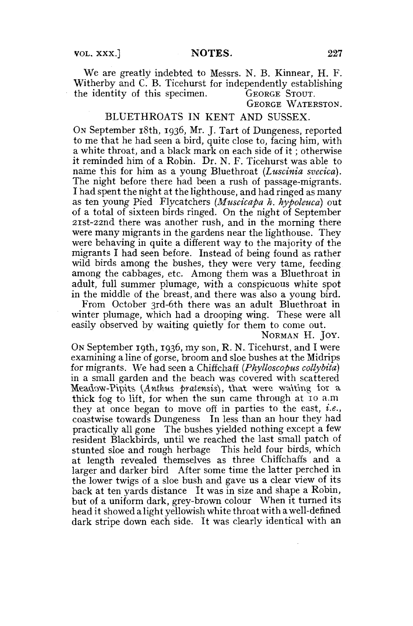We are greatly indebted to Messrs. N. B, Kinnear, H. F. Witherby and C. B. Ticehurst for independently establishing the identity of this specimen. GEORGE STOUT.

GEORGE WATERSTON.

# BLUETHROATS IN KENT AND SUSSEX.

ON September 18th, 1936, Mr. J. Tart of Dungeness, reported to me that he had seen a bird, quite close to, facing him, with a white throat, and a black mark on each side of it ; otherwise it reminded him of a Robin. Dr. N. F. Ticehurst was able to name this for him as a young Bluethroat *(Luscinia svecica).*  The night before there had been a rush of passage-migrants. I had spent the night at the lighthouse, and had ringed as many as ten young Pied Flycatchers *(Muscicapa h, hypolmca)* out of a total of sixteen birds ringed. On the night of September 2ist-22nd there was another rush, and in the morning there were many migrants in the gardens near the lighthouse. They were behaving in quite a different way to the majority of the migrants I had seen before. Instead of being found as rather wild birds among the bushes, they were very tame, feeding among the cabbages, etc. Among them was a Bluethroat in adult, full summer plumage, with a conspicuous white spot in the middle of the breast, and there was also a young bird.

From October 3rd-6th there was an adult Bluethroat in winter plumage, which had a drooping wing. These were all easily observed by waiting quietly for them to come out.

NORMAN H. JOY.

ON September 19th, 1936, my son, R. N. Ticehurst, and I were examining a line of gorse, broom and sloe bushes at the Midrips for migrants. We had seen a Chiffchaff *{Phylloscopus collybita)*  in a small garden and the beach was covered with scattered Meadow-Pipits (Anthus pratensis), that were waiting for a thick fog to lift, for when the sun came through at 10 a.m they at once began to move off in parties to the east, *i.e.,*  coastwise towards Dungeness In less than an hour they had practically all gone The bushes yielded nothing except a few resident Blackbirds, until we reached the last small patch of stunted sloe and rough herbage This held four birds, which at length revealed themselves as three Chiffchaffs and a larger and darker bird After some time the latter perched in the lower twigs of a sloe bush and gave us a clear view of its back at ten yards distance It was in size and shape a Robin, but of a uniform dark, grey-brown colour When it turned its head it showed a light yellowish white throat with a well-defined dark stripe down each side. It was clearly identical with an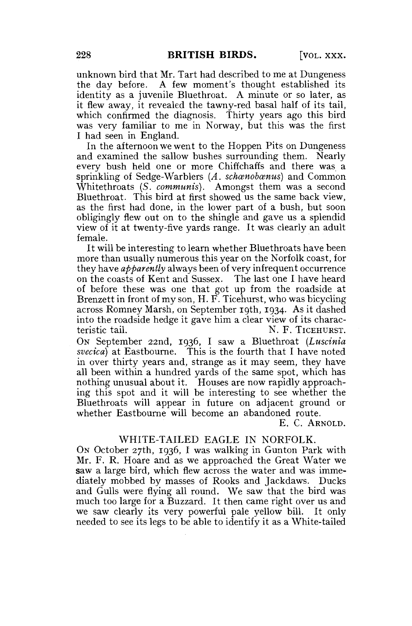unknown bird that Mr. Tart had described to me at Dungeness the day before. A few moment's thought established its identity as a juvenile Bluethroat. A minute or so later, as it flew away, it revealed the tawny-red basal half of its tail, which confirmed the diagnosis. Thirty years ago this bird was very familiar to me in Norway, but this was the first I had seen in England.

In the afternoon we went to the Hoppen Pits on Dungeness and examined the sallow bushes surrounding them. Nearly every bush held one or more Chiffchaffs and there was a sprinkling of Sedge-Warblers (A. schaenobaenus) and Common Whitethroats *(S. communis).* Amongst them was a second Bluethroat. This bird at first showed us the same back view, as the first had done, in the lower part of a bush, but soon obligingly flew out on to the shingle and gave us a splendid view of it at twenty-five yards range. It was clearly an adult female.

It will be interesting to learn whether Bluethroats have been more than usually numerous this year on the Norfolk coast, for they have *apparently* always been of very infrequent occurrence on the coasts of Kent and Sussex. The last one I have heard of before these was one that got up from the roadside at Brenzett in front of my son, H. F. Ticehurst, who was bicycling across Romney Marsh, on September 19th, 1934. As it dashed into the roadside hedge it gave him a clear view of its characteristic tail. N. F. TICEHURST.

ON September 22nd, 1936, I saw a Bluethroat *(Luscinia svecica)* at Eastbourne. This is the fourth that I have noted in over thirty years and, strange as it may seem, they have all been within a hundred yards of the same spot, which has nothing unusual about it. Houses are now rapidly approaching this spot and it will be interesting to see whether the Bluethroats will appear in future on adjacent ground or whether Eastbourne will become an abandoned route.

E. C. ARNOLD.

#### WHITE-TAILED EAGLE IN NORFOLK.

ON October 27th, 1936, I was walking in Gunton Park with Mr. F. R. Hoare and as we approached the Great Water we saw a large bird, which flew across the water and was immediately mobbed by masses of Rooks and Jackdaws. Ducks and Gulls were flying all round. We saw that the bird was much too large for a Buzzard. It then came right over us and we saw clearly its very powerful pale yellow bill. It only needed to see its legs to be able to identify it as a White-tailed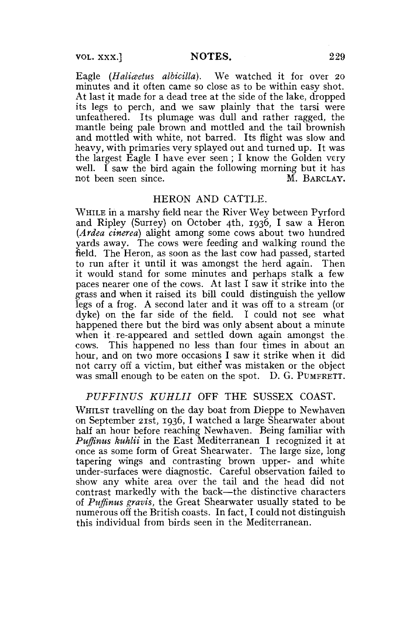Eagle *(Haliceetus albicilla).* We watched it for over 20 minutes and it often came so close as to be within easy shot. At last it made for a dead tree at the side of the lake, dropped its legs to perch, and we saw plainly that the tarsi were unfeathered. Its plumage was dull and rather ragged, the mantle being pale brown and mottled and the tail brownish and mottled with white, not barred. Its flight was slow and heavy, with primaries very splayed out and turned up. It was the largest Eagle I have ever seen; I know the Golden very well. I saw the bird again the following morning but it has not been seen since. The matrix of M. BARCLAY.

## HERON AND CATTLE.

WHILE in a marshy field near the River Wey between Pyrford and Ripley (Surrey) on October 4th, 1936, I saw a Heron *{Ardea cinerea)* alight among some cows about two hundred yards away. The cows were feeding and walking round the field. The Heron, as soon as the last cow had passed, started to run after it until it was amongst the herd again. Then it would stand for some minutes and perhaps stalk a few paces nearer one of the cows. At last I saw it strike into the grass and when it raised its bill could distinguish the yellow legs of a frog. A second later and it was off to a stream (or dyke) on the far side of the field. I could not see what happened there but the bird was only absent about a minute when it re-appeared and settled down again amongst the cows. This happened no less than four times in about an hour, and on two more occasions I saw it strike when it did not carry off a victim, but either was mistaken or the object was small enough to be eaten on the spot. D. G. PUMFRETT.

# *PUFFINUS KUHLII* OFF THE SUSSEX COAST.

WHILST travelling on the day boat from Dieppe to Newhaven on September 21st, 1936, I watched a large Shearwater about half an hour before reaching Newhaven. Being familiar with *Puffinus kuhlii* in the East Mediterranean I recognized it at once as some form of Great Shearwater. The large size, long tapering wings and contrasting brown upper- and white under-surfaces were diagnostic. Careful observation failed to show any white area over the tail and the head did not contrast markedly with the back—the distinctive characters of *Puffinus gravis,* the Great Shearwater usually stated to be numerous off the British coasts. In fact, I could not distinguish this individual from birds seen in the Mediterranean.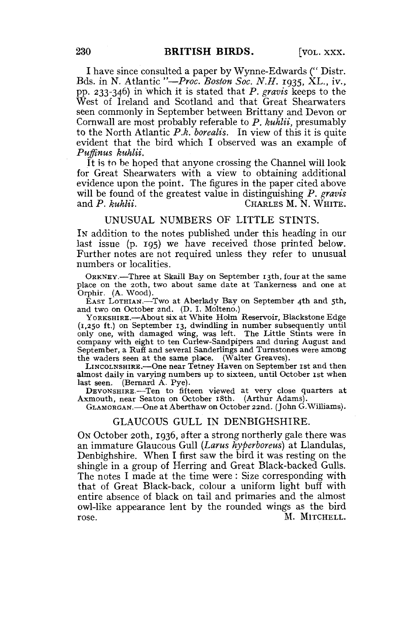I have since consulted a paper by Wynne-Edwards (" Distr. Bds. in N. Atlantic *"—Proc. Boston Soc. N.H.* 1935, XL., iv., pp. 233-346) in which it is stated that *P. gravis* keeps to the West of Ireland and Scotland and that Great Shearwaters seen commonly in September between Brittany and Devon or Cornwall are most probably referable to *P. kuhlii,* presumably to the North Atlantic *P.k. borealis.* In view of this it is quite evident that the bird which I observed was an example of *Puffinus kuhlii.* 

It is to be hoped that anyone crossing the Channel will look for Great Shearwaters with a view to obtaining additional evidence upon the point. The figures in the paper cited above will be found of the greatest value in distinguishing *P. gravis*  CHARLES M. N. WHITE.

#### UNUSUAL NUMBERS OF LITTLE STINTS.

IN addition to the notes published under this heading in our last issue (p. 195) we have received those printed below. Further notes are not required unless they refer to unusual numbers or localities.

ORKNEY.—Three at Skaill Bay on September 13th, four at the same place on the 20th, two about same date at Tankerness and one at Orphir. (A. Wood).

EAST LOTHIAN.—Two at Aberlady Bay on September 4th and 5th, and two on October 2nd. (D. I. Molteno.)

YORKSHIRE.—About six at White Holm Reservoir, Blackstone Edge {1,250 ft.) on September 13, dwindling in number subsequently until only one, with damaged wing, was left. The Little Stints were in company with eight to ten Curlew-Sandpipers and during August and September, a Rufi and several Sanderlings and Turnstones were among the waders seen at the same place. (Walter Greaves).

LINCOLNSHIRE.—One near Tetney Haven on September 1st and then almost daily in varying numbers up to sixteen, until October 1st when last seen. (Bernard A. Pye).

DEVONSHIRE.—Ten to fifteen viewed at very close quarters at Axmouth, near Seaton on October 18th. (Arthur Adams).

GLAMORGAN.—One at Aberthaw on October 22nd. (John G.Williams).

## GLAUCOUS GULL IN DENBIGHSHIRE.

ON October 20th, 1936, after a strong northerly gale there was an immature Glaucous Gull *(Larus hyperboreus)* at Llandulas, Denbighshire. When I first saw the bird it was resting on the shingle in a group of Herring and Great Black-backed Gulls. The notes I made at the time were : Size corresponding with that of Great Black-back, colour a uniform light buff with entire absence of black on tail and primaries and the almost owl-like appearance lent by the rounded wings as the bird rose. The contract of the contract of the MITCHELL.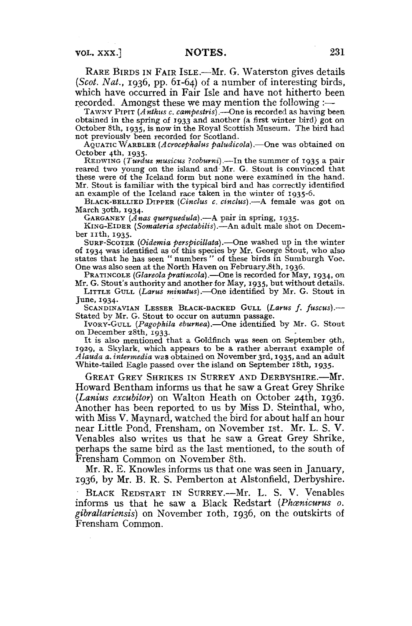RARE BIRDS IN FAIR ISLE.—Mr. G. Waterston gives details *(Scot. Nat.,* 1936, pp. 61-64) of a number of interesting birds, which have occurred in Fair Isle and have not hitherto been recorded. Amongst these we may mention the following:—

TAWNY PIPIT *(Anthns c. campestris)*.—One is recorded as having been obtained in the spring of 1933 and another (a first winter bird) got on October 8th, 1935, is now in the Royal Scottish Museum, The bird had not previously been recorded for Scotland.

AQUATIC WARBLER *(Acrocephalus paludicola).*—One was obtained on October 4th, 1935.

REDWING *(Turdus musicus Icoburni),*—In the summer of 1935 a pair reared two young on the island and Mr. G. Stout is convinced that these were of the Iceland form but none were examined in the hand. Mr. Stout is familiar with the typical bird and has correctly identified an example of the Iceland race taken in the winter of 1935-6.

BLACK-BELLIED DIPPER *(Cinclus c. cinclus).*—A female was got on March 30th, 1934.

GARGANEY *(Anas qnerquednla).*—A pair in spring, 1935.

KING-EIDER *(Somateria spectabilis).*—An adult male shot on December 11th, 1935.

SURF-SCOTER *(Oidemia perspicillata).*—One washed up in the winter of 1934 was identified as of this species by Mr. George Stout, who also states that he has seen " numbers " of these birds in Sumburgh Voe. One was also seen at the North Haven on February,8th, 1936.

PRATINCOLE (Glareola pratincola). One is recorded for May, 1934, on Mr. G. Stout's authority and another for May, 1935, but without details.

LITTLE GULL *(Larus minutus).*—One identified by Mr, G. Stout in June, 1934.

SCANDINAVIAN LESSER BLACK-BACKED GULL *{Larus f. fuscus).*— Stated by Mr. G. Stout to occur on autumn passage.

IVORY-GULL *{Pagophila eburma).*—One identified by Mr. G. Stout 011 December 28th, 1933.

It is also mentioned that a Goldfinch was seen on September 9th, 1929, a Skylark, which appears to be a rather aberrant example of *Alau&a a. intermedia* was obtained on November 3rd, 1935, and an adult White-tailed Eagle passed over the island on September i8th, 1935.

GREAT GREY SHRIKES IN SURREY AND DERBYSHIRE.—Mr. Howard Bentham informs us that he saw a Great Grey Shrike *(Lanius excubitor)* on Walton Heath on October 24th, 1936. Another has been reported to us by Miss D. Steinthal, who, with Miss V. Maynard, watched the bird for about half an hour near Little Pond, Frensham, on November 1st. Mr. L. S. V. Venables also writes us that he saw a Great Grey Shrike, perhaps the same bird as the last mentioned, to the south of Frensham Common on November 8th.

Mr. R. E. Knowles informs us that one was seen in January, 1936, by Mr. B. R. S, Pemberton at Alstonfield, Derbyshire. BLACK REDSTART IN SURREY.—Mr. L. S. V. Venables informs us that he saw a Black Redstart (Phanicurus o. *gibraltariensis)* on November ioth, 1936, on the outskirts of Frensham Common,